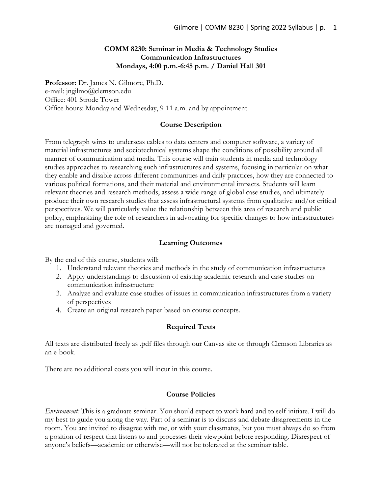## **COMM 8230: Seminar in Media & Technology Studies Communication Infrastructures Mondays, 4:00 p.m.-6:45 p.m. / Daniel Hall 301**

**Professor:** Dr. James N. Gilmore, Ph.D. e-mail: jngilmo@clemson.edu Office: 401 Strode Tower Office hours: Monday and Wednesday, 9-11 a.m. and by appointment

#### **Course Description**

From telegraph wires to underseas cables to data centers and computer software, a variety of material infrastructures and sociotechnical systems shape the conditions of possibility around all manner of communication and media. This course will train students in media and technology studies approaches to researching such infrastructures and systems, focusing in particular on what they enable and disable across different communities and daily practices, how they are connected to various political formations, and their material and environmental impacts. Students will learn relevant theories and research methods, assess a wide range of global case studies, and ultimately produce their own research studies that assess infrastructural systems from qualitative and/or critical perspectives. We will particularly value the relationship between this area of research and public policy, emphasizing the role of researchers in advocating for specific changes to how infrastructures are managed and governed.

#### **Learning Outcomes**

By the end of this course, students will:

- 1. Understand relevant theories and methods in the study of communication infrastructures
- 2. Apply understandings to discussion of existing academic research and case studies on communication infrastructure
- 3. Analyze and evaluate case studies of issues in communication infrastructures from a variety of perspectives
- 4. Create an original research paper based on course concepts.

#### **Required Texts**

All texts are distributed freely as .pdf files through our Canvas site or through Clemson Libraries as an e-book.

There are no additional costs you will incur in this course.

#### **Course Policies**

*Environment:* This is a graduate seminar. You should expect to work hard and to self-initiate. I will do my best to guide you along the way. Part of a seminar is to discuss and debate disagreements in the room. You are invited to disagree with me, or with your classmates, but you must always do so from a position of respect that listens to and processes their viewpoint before responding. Disrespect of anyone's beliefs—academic or otherwise—will not be tolerated at the seminar table.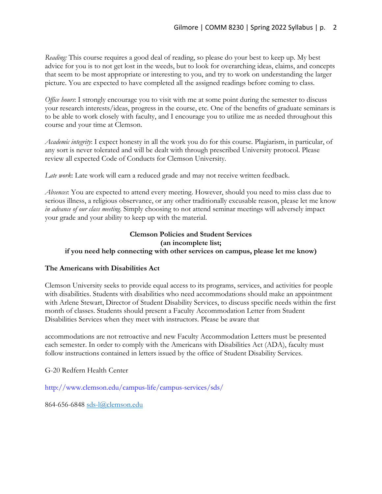*Reading:* This course requires a good deal of reading, so please do your best to keep up. My best advice for you is to not get lost in the weeds, but to look for overarching ideas, claims, and concepts that seem to be most appropriate or interesting to you, and try to work on understanding the larger picture. You are expected to have completed all the assigned readings before coming to class.

*Office hours*: I strongly encourage you to visit with me at some point during the semester to discuss your research interests/ideas, progress in the course, etc. One of the benefits of graduate seminars is to be able to work closely with faculty, and I encourage you to utilize me as needed throughout this course and your time at Clemson.

*Academic integrity*: I expect honesty in all the work you do for this course. Plagiarism, in particular, of any sort is never tolerated and will be dealt with through prescribed University protocol. Please review all expected Code of Conducts for Clemson University.

*Late work*: Late work will earn a reduced grade and may not receive written feedback.

*Absences*: You are expected to attend every meeting. However, should you need to miss class due to serious illness, a religious observance, or any other traditionally excusable reason, please let me know *in advance of our class meeting*. Simply choosing to not attend seminar meetings will adversely impact your grade and your ability to keep up with the material.

## **Clemson Policies and Student Services (an incomplete list; if you need help connecting with other services on campus, please let me know)**

## **The Americans with Disabilities Act**

Clemson University seeks to provide equal access to its programs, services, and activities for people with disabilities. Students with disabilities who need accommodations should make an appointment with Arlene Stewart, Director of Student Disability Services, to discuss specific needs within the first month of classes. Students should present a Faculty Accommodation Letter from Student Disabilities Services when they meet with instructors. Please be aware that

accommodations are not retroactive and new Faculty Accommodation Letters must be presented each semester. In order to comply with the Americans with Disabilities Act (ADA), faculty must follow instructions contained in letters issued by the office of Student Disability Services.

G-20 Redfern Health Center

http://www.clemson.edu/campus-life/campus-services/sds/

864-656-6848 sds-l@clemson.edu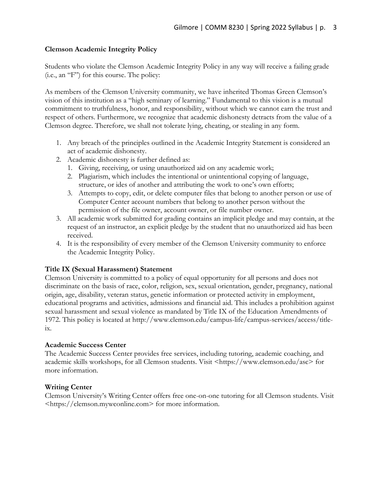## **Clemson Academic Integrity Policy**

Students who violate the Clemson Academic Integrity Policy in any way will receive a failing grade (i.e., an "F") for this course. The policy:

As members of the Clemson University community, we have inherited Thomas Green Clemson's vision of this institution as a "high seminary of learning." Fundamental to this vision is a mutual commitment to truthfulness, honor, and responsibility, without which we cannot earn the trust and respect of others. Furthermore, we recognize that academic dishonesty detracts from the value of a Clemson degree. Therefore, we shall not tolerate lying, cheating, or stealing in any form.

- 1. Any breach of the principles outlined in the Academic Integrity Statement is considered an act of academic dishonesty.
- 2. Academic dishonesty is further defined as:
	- 1. Giving, receiving, or using unauthorized aid on any academic work;
	- 2. Plagiarism, which includes the intentional or unintentional copying of language, structure, or ides of another and attributing the work to one's own efforts;
	- 3. Attempts to copy, edit, or delete computer files that belong to another person or use of Computer Center account numbers that belong to another person without the permission of the file owner, account owner, or file number owner.
- 3. All academic work submitted for grading contains an implicit pledge and may contain, at the request of an instructor, an explicit pledge by the student that no unauthorized aid has been received.
- 4. It is the responsibility of every member of the Clemson University community to enforce the Academic Integrity Policy.

## **Title IX (Sexual Harassment) Statement**

Clemson University is committed to a policy of equal opportunity for all persons and does not discriminate on the basis of race, color, religion, sex, sexual orientation, gender, pregnancy, national origin, age, disability, veteran status, genetic information or protected activity in employment, educational programs and activities, admissions and financial aid. This includes a prohibition against sexual harassment and sexual violence as mandated by Title IX of the Education Amendments of 1972. This policy is located at http://www.clemson.edu/campus-life/campus-services/access/titleix.

## **Academic Success Center**

The Academic Success Center provides free services, including tutoring, academic coaching, and academic skills workshops, for all Clemson students. Visit <https://www.clemson.edu/asc> for more information.

## **Writing Center**

Clemson University's Writing Center offers free one-on-one tutoring for all Clemson students. Visit <https://clemson.mywconline.com> for more information.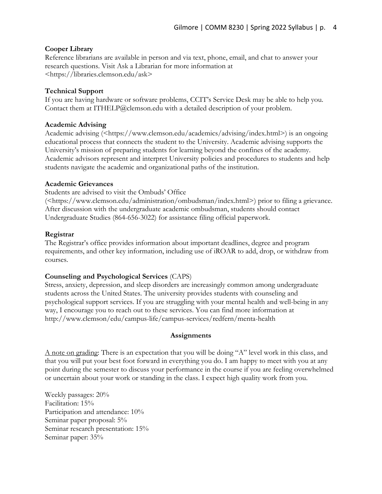## **Cooper Library**

Reference librarians are available in person and via text, phone, email, and chat to answer your research questions. Visit Ask a Librarian for more information at <https://libraries.clemson.edu/ask>

## **Technical Support**

If you are having hardware or software problems, CCIT's Service Desk may be able to help you. Contact them at ITHELP@clemson.edu with a detailed description of your problem.

## **Academic Advising**

Academic advising (<https://www.clemson.edu/academics/advising/index.html>) is an ongoing educational process that connects the student to the University. Academic advising supports the University's mission of preparing students for learning beyond the confines of the academy. Academic advisors represent and interpret University policies and procedures to students and help students navigate the academic and organizational paths of the institution.

## **Academic Grievances**

Students are advised to visit the Ombuds' Office

(<https://www.clemson.edu/administration/ombudsman/index.html>) prior to filing a grievance. After discussion with the undergraduate academic ombudsman, students should contact Undergraduate Studies (864-656-3022) for assistance filing official paperwork.

### **Registrar**

The Registrar's office provides information about important deadlines, degree and program requirements, and other key information, including use of iROAR to add, drop, or withdraw from courses.

## **Counseling and Psychological Services** (CAPS)

Stress, anxiety, depression, and sleep disorders are increasingly common among undergraduate students across the United States. The university provides students with counseling and psychological support services. If you are struggling with your mental health and well-being in any way, I encourage you to reach out to these services. You can find more information at http://www.clemson/edu/campus-life/campus-services/redfern/menta-health

#### **Assignments**

A note on grading: There is an expectation that you will be doing "A" level work in this class, and that you will put your best foot forward in everything you do. I am happy to meet with you at any point during the semester to discuss your performance in the course if you are feeling overwhelmed or uncertain about your work or standing in the class. I expect high quality work from you.

Weekly passages: 20% Facilitation: 15% Participation and attendance: 10% Seminar paper proposal: 5% Seminar research presentation: 15% Seminar paper: 35%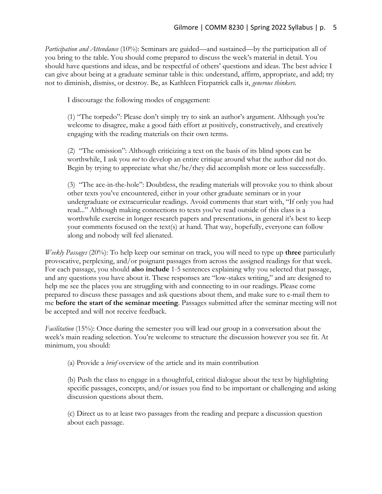*Participation and Attendance* (10%): Seminars are guided—and sustained—by the participation all of you bring to the table. You should come prepared to discuss the week's material in detail. You should have questions and ideas, and be respectful of others' questions and ideas. The best advice I can give about being at a graduate seminar table is this: understand, affirm, appropriate, and add; try not to diminish, dismiss, or destroy. Be, as Kathleen Fitzpatrick calls it, *generous thinkers.* 

I discourage the following modes of engagement:

(1) "The torpedo": Please don't simply try to sink an author's argument. Although you're welcome to disagree, make a good faith effort at positively, constructively, and creatively engaging with the reading materials on their own terms.

(2) "The omission": Although criticizing a text on the basis of its blind spots can be worthwhile, I ask you *not* to develop an entire critique around what the author did not do. Begin by trying to appreciate what she/he/they did accomplish more or less successfully.

(3) "The ace-in-the-hole": Doubtless, the reading materials will provoke you to think about other texts you've encountered, either in your other graduate seminars or in your undergraduate or extracurricular readings. Avoid comments that start with, "If only you had read..." Although making connections to texts you've read outside of this class is a worthwhile exercise in longer research papers and presentations, in general it's best to keep your comments focused on the text(s) at hand. That way, hopefully, everyone can follow along and nobody will feel alienated.

*Weekly Passages* (20%): To help keep our seminar on track, you will need to type up **three** particularly provocative, perplexing, and/or poignant passages from across the assigned readings for that week. For each passage, you should **also include** 1-5 sentences explaining why you selected that passage, and any questions you have about it. These responses are "low-stakes writing," and are designed to help me see the places you are struggling with and connecting to in our readings. Please come prepared to discuss these passages and ask questions about them, and make sure to e-mail them to me **before the start of the seminar meeting**. Passages submitted after the seminar meeting will not be accepted and will not receive feedback.

*Facilitation* (15%): Once during the semester you will lead our group in a conversation about the week's main reading selection. You're welcome to structure the discussion however you see fit. At minimum, you should:

(a) Provide a *brief* overview of the article and its main contribution

(b) Push the class to engage in a thoughtful, critical dialogue about the text by highlighting specific passages, concepts, and/or issues you find to be important or challenging and asking discussion questions about them.

(c) Direct us to at least two passages from the reading and prepare a discussion question about each passage.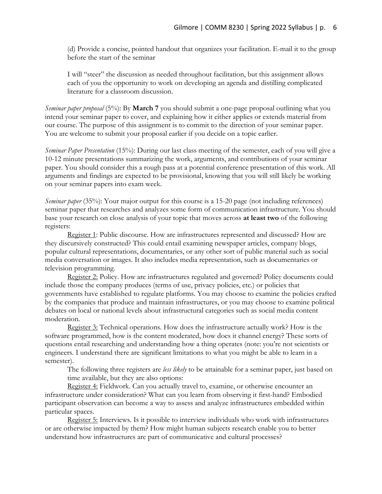(d) Provide a concise, pointed handout that organizes your facilitation. E-mail it to the group before the start of the seminar

I will "steer" the discussion as needed throughout facilitation, but this assignment allows each of you the opportunity to work on developing an agenda and distilling complicated literature for a classroom discussion.

*Seminar paper proposal* (5%): By **March 7** you should submit a one-page proposal outlining what you intend your seminar paper to cover, and explaining how it either applies or extends material from our course. The purpose of this assignment is to commit to the direction of your seminar paper. You are welcome to submit your proposal earlier if you decide on a topic earlier.

*Seminar Paper Presentation* (15%): During our last class meeting of the semester, each of you will give a 10-12 minute presentations summarizing the work, arguments, and contributions of your seminar paper. You should consider this a rough pass at a potential conference presentation of this work. All arguments and findings are expected to be provisional, knowing that you will still likely be working on your seminar papers into exam week.

*Seminar paper* (35%): Your major output for this course is a 15-20 page (not including references) seminar paper that researches and analyzes some form of communication infrastructure. You should base your research on close analysis of your topic that moves across **at least two** of the following registers:

Register 1: Public discourse. How are infrastructures represented and discussed? How are they discursively constructed? This could entail examining newspaper articles, company blogs, popular cultural representations, documentaries, or any other sort of public material such as social media conversation or images. It also includes media representation, such as documentaries or television programming.

Register 2: Policy. How are infrastructures regulated and governed? Policy documents could include those the company produces (terms of use, privacy policies, etc.) or policies that governments have established to regulate platforms. You may choose to examine the policies crafted by the companies that produce and maintain infrastructures, or you may choose to examine political debates on local or national levels about infrastructural categories such as social media content moderation.

Register 3: Technical operations. How does the infrastructure actually work? How is the software programmed, how is the content moderated, how does it channel energy? These sorts of questions entail researching and understanding how a thing operates (note: you're not scientists or engineers. I understand there are significant limitations to what you might be able to learn in a semester).

The following three registers are *less likely* to be attainable for a seminar paper, just based on time available, but they are also options:

Register 4: Fieldwork. Can you actually travel to, examine, or otherwise encounter an infrastructure under consideration? What can you learn from observing it first-hand? Embodied participant observation can become a way to assess and analyze infrastructures embedded within particular spaces.

Register 5: Interviews. Is it possible to interview individuals who work with infrastructures or are otherwise impacted by them? How might human subjects research enable you to better understand how infrastructures are part of communicative and cultural processes?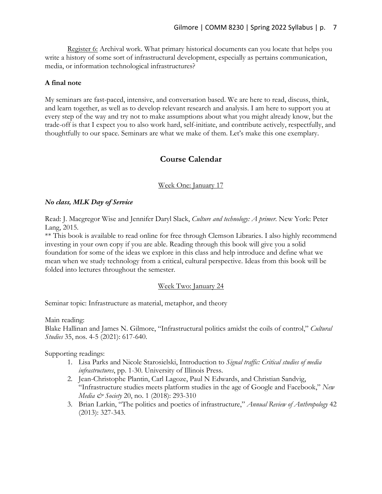Register 6: Archival work. What primary historical documents can you locate that helps you write a history of some sort of infrastructural development, especially as pertains communication, media, or information technological infrastructures?

### **A final note**

My seminars are fast-paced, intensive, and conversation based. We are here to read, discuss, think, and learn together, as well as to develop relevant research and analysis. I am here to support you at every step of the way and try not to make assumptions about what you might already know, but the trade-off is that I expect you to also work hard, self-initiate, and contribute actively, respectfully, and thoughtfully to our space. Seminars are what we make of them. Let's make this one exemplary.

# **Course Calendar**

### Week One: January 17

### *No class, MLK Day of Service*

Read: J. Macgregor Wise and Jennifer Daryl Slack, *Culture and technology: A primer*. New York: Peter Lang, 2015.

\*\* This book is available to read online for free through Clemson Libraries. I also highly recommend investing in your own copy if you are able. Reading through this book will give you a solid foundation for some of the ideas we explore in this class and help introduce and define what we mean when we study technology from a critical, cultural perspective. Ideas from this book will be folded into lectures throughout the semester.

#### Week Two: January 24

Seminar topic: Infrastructure as material, metaphor, and theory

Main reading:

Blake Hallinan and James N. Gilmore, "Infrastructural politics amidst the coils of control," *Cultural Studies* 35, nos. 4-5 (2021): 617-640.

Supporting readings:

- 1. Lisa Parks and Nicole Starosielski, Introduction to *Signal traffic: Critical studies of media infrastructures*, pp. 1-30. University of Illinois Press.
- 2. Jean-Christophe Plantin, Carl Lagoze, Paul N Edwards, and Christian Sandvig, "Infrastructure studies meets platform studies in the age of Google and Facebook," *New Media & Society 20, no. 1 (2018): 293-310*
- 3. Brian Larkin, "The politics and poetics of infrastructure," *Annual Review of Anthropology* 42 (2013): 327-343.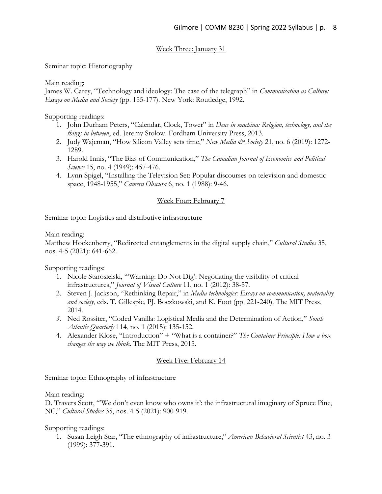# Week Three: January 31

Seminar topic: Historiography

Main reading:

James W. Carey, "Technology and ideology: The case of the telegraph" in *Communication as Culture: Essays on Media and Society* (pp. 155-177). New York: Routledge, 1992.

Supporting readings:

- 1. John Durham Peters, "Calendar, Clock, Tower" in *Deus in machina: Religion, technology, and the things in between*, ed. Jeremy Stolow. Fordham University Press, 2013.
- 2. Judy Wajcman, "How Silicon Valley sets time," *New Media & Society* 21, no. 6 (2019): 1272- 1289.
- 3. Harold Innis, "The Bias of Communication," *The Canadian Journal of Economics and Political Science* 15, no. 4 (1949): 457-476.
- 4. Lynn Spigel, "Installing the Television Set: Popular discourses on television and domestic space, 1948-1955," *Camera Obscura* 6, no. 1 (1988): 9-46.

## Week Four: February 7

Seminar topic: Logistics and distributive infrastructure

Main reading:

Matthew Hockenberry, "Redirected entanglements in the digital supply chain," *Cultural Studies* 35, nos. 4-5 (2021): 641-662.

Supporting readings:

- 1. Nicole Starosielski, "'Warning: Do Not Dig': Negotiating the visibility of critical infrastructures," *Journal of Visual Culture* 11, no. 1 (2012): 38-57.
- 2. Steven J. Jackson, "Rethinking Repair," in *Media technologies: Essays on communication, materiality and society*, eds. T. Gillespie, PJ. Boczkowski, and K. Foot (pp. 221-240). The MIT Press, 2014.
- *3.* Ned Rossiter, "Coded Vanilla: Logistical Media and the Determination of Action," *South Atlantic Quarterly* 114, no. 1 (2015): 135-152.
- 4. Alexander Klose, "Introduction" + "What is a container?" *The Container Principle: How a box changes the way we think*. The MIT Press, 2015.

## Week Five: February 14

Seminar topic: Ethnography of infrastructure

Main reading:

D. Travers Scott, "'We don't even know who owns it': the infrastructural imaginary of Spruce Pine, NC," *Cultural Studies* 35, nos. 4-5 (2021): 900-919.

Supporting readings:

1. Susan Leigh Star, "The ethnography of infrastructure," *American Behavioral Scientist* 43, no. 3 (1999): 377-391.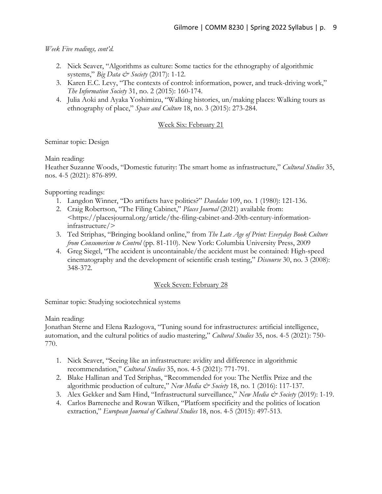*Week Five readings, cont'd.*

- 2. Nick Seaver, "Algorithms as culture: Some tactics for the ethnography of algorithmic systems," *Big Data & Society* (2017): 1-12.
- 3. Karen E.C. Levy, "The contexts of control: information, power, and truck-driving work," *The Information Society* 31, no. 2 (2015): 160-174.
- 4. Julia Aoki and Ayaka Yoshimizu, "Walking histories, un/making places: Walking tours as ethnography of place," *Space and Culture* 18, no. 3 (2015): 273-284.

## Week Six: February 21

Seminar topic: Design

Main reading:

Heather Suzanne Woods, "Domestic futurity: The smart home as infrastructure," *Cultural Studies* 35, nos. 4-5 (2021): 876-899.

Supporting readings:

- 1. Langdon Winner, "Do artifacts have politics?" *Daedalus* 109, no. 1 (1980): 121-136.
- 2. Craig Robertson, "The Filing Cabinet," *Places Journal* (2021) available from: <https://placesjournal.org/article/the-filing-cabinet-and-20th-century-informationinfrastructure/>
- 3. Ted Striphas, "Bringing bookland online," from *The Late Age of Print: Everyday Book Culture from Consumerism to Control* (pp. 81-110). New York: Columbia University Press, 2009
- 4. Greg Siegel, "The accident is uncontainable/the accident must be contained: High-speed cinematography and the development of scientific crash testing," *Discourse* 30, no. 3 (2008): 348-372.

## Week Seven: February 28

Seminar topic: Studying sociotechnical systems

Main reading:

Jonathan Sterne and Elena Razlogova, "Tuning sound for infrastructures: artificial intelligence, automation, and the cultural politics of audio mastering," *Cultural Studies* 35, nos. 4-5 (2021): 750- 770.

- 1. Nick Seaver, "Seeing like an infrastructure: avidity and difference in algorithmic recommendation," *Cultural Studies* 35, nos. 4-5 (2021): 771-791.
- 2. Blake Hallinan and Ted Striphas, "Recommended for you: The Netflix Prize and the algorithmic production of culture," *New Media & Society* 18, no. 1 (2016): 117-137.
- 3. Alex Gekker and Sam Hind, "Infrastructural surveillance," *New Media & Society* (2019): 1-19.
- 4. Carlos Barreneche and Rowan Wilken, "Platform specificity and the politics of location extraction," *European Journal of Cultural Studies* 18, nos. 4-5 (2015): 497-513.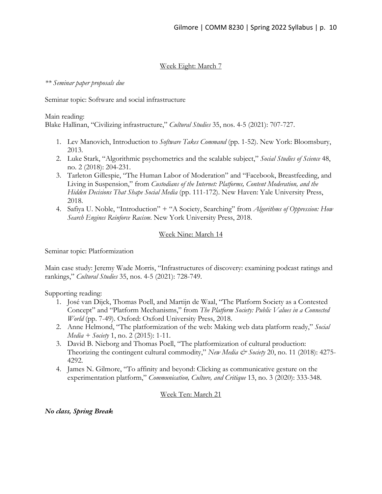## Week Eight: March 7

### *\*\* Seminar paper proposals due*

Seminar topic: Software and social infrastructure

Main reading:

Blake Hallinan, "Civilizing infrastructure," *Cultural Studies* 35, nos. 4-5 (2021): 707-727.

- 1. Lev Manovich, Introduction to *Software Takes Command* (pp. 1-52). New York: Bloomsbury, 2013.
- 2. Luke Stark, "Algorithmic psychometrics and the scalable subject," *Social Studies of Science* 48, no. 2 (2018): 204-231.
- 3. Tarleton Gillespie, "The Human Labor of Moderation" and "Facebook, Breastfeeding, and Living in Suspension," from *Custodians of the Internet: Platforms, Content Moderation, and the Hidden Decisions That Shape Social Media* (pp. 111-172). New Haven: Yale University Press, 2018.
- 4. Safiya U. Noble, "Introduction" + "A Society, Searching" from *Algorithms of Oppression: How Search Engines Reinforce Racism*. New York University Press, 2018.

## Week Nine: March 14

Seminar topic: Platformization

Main case study: Jeremy Wade Morris, "Infrastructures of discovery: examining podcast ratings and rankings," *Cultural Studies* 35, nos. 4-5 (2021): 728-749.

Supporting reading:

- 1. José van Dijck, Thomas Poell, and Martijn de Waal, "The Platform Society as a Contested Concept" and "Platform Mechanisms," from *The Platform Society: Public Values in a Connected World* (pp. 7-49). Oxford: Oxford University Press, 2018.
- 2. Anne Helmond, "The platformization of the web: Making web data platform ready," *Social Media + Society* 1, no. 2 (2015): 1-11.
- 3. David B. Nieborg and Thomas Poell, "The platformization of cultural production: Theorizing the contingent cultural commodity," *New Media & Society* 20, no. 11 (2018): 4275-4292.
- 4. James N. Gilmore, "To affinity and beyond: Clicking as communicative gesture on the experimentation platform," *Communication, Culture, and Critique* 13, no. 3 (2020): 333-348.

## Week Ten: March 21

## *No class, Spring Break*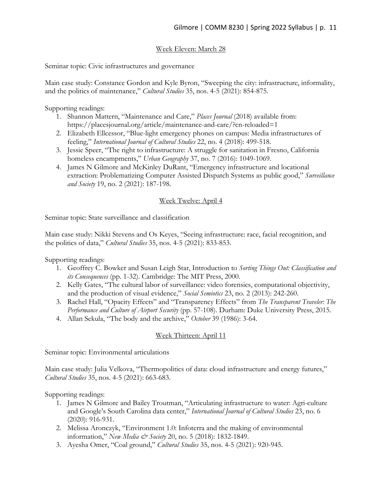# Week Eleven: March 28

Seminar topic: Civic infrastructures and governance

Main case study: Constance Gordon and Kyle Byron, "Sweeping the city: infrastructure, informality, and the politics of maintenance," *Cultural Studies* 35, nos. 4-5 (2021): 854-875.

Supporting readings:

- 1. Shannon Mattern, "Maintenance and Care," *Places Journal* (2018) available from: https://placesjournal.org/article/maintenance-and-care/?cn-reloaded=1
- 2. Elizabeth Ellcessor, "Blue-light emergency phones on campus: Media infrastructures of feeling," *International Journal of Cultural Studies* 22, no. 4 (2018): 499-518.
- 3. Jessie Speer, "The right to infrastructure: A struggle for sanitation in Fresno, California homeless encampments," *Urban Geography* 37, no. 7 (2016): 1049-1069.
- 4. James N Gilmore and McKinley DuRant, "Emergency infrastructure and locational extraction: Problematizing Computer Assisted Dispatch Systems as public good," *Surveillance and Society* 19, no. 2 (2021): 187-198.

## Week Twelve: April 4

Seminar topic: State surveillance and classification

Main case study: Nikki Stevens and Os Keyes, "Seeing infrastructure: race, facial recognition, and the politics of data," *Cultural Studies* 35, nos. 4-5 (2021): 833-853.

Supporting readings:

- 1. Geoffrey C. Bowker and Susan Leigh Star, Introduction to *Sorting Things Out: Classification and its Consequences* (pp. 1-32). Cambridge: The MIT Press, 2000.
- 2. Kelly Gates, "The cultural labor of surveillance: video forensics, computational objectivity, and the production of visual evidence," *Social Semiotics* 23, no. 2 (2013): 242-260.
- 3. Rachel Hall, "Opacity Effects" and "Transparency Effects" from *The Transparent Traveler: The Performance and Culture of Airport Security* (pp. 57-108). Durham: Duke University Press, 2015.
- 4. Allan Sekula, "The body and the archive," *October* 39 (1986): 3-64.

# Week Thirteen: April 11

Seminar topic: Environmental articulations

Main case study: Julia Velkova, "Thermopolitics of data: cloud infrastructure and energy futures," *Cultural Studies* 35, nos. 4-5 (2021): 663-683.

Supporting readings:

- 1. James N Gilmore and Bailey Troutman, "Articulating infrastructure to water: Agri-culture and Google's South Carolina data center," *International Journal of Cultural Studies* 23, no. 6 (2020): 916-931.
- 2. Melissa Aronczyk, "Environment 1.0: Infoterra and the making of environmental information," *New Media & Society* 20, no. 5 (2018): 1832-1849.
- 3. Ayesha Omer, "Coal ground," *Cultural Studies* 35, nos. 4-5 (2021): 920-945.